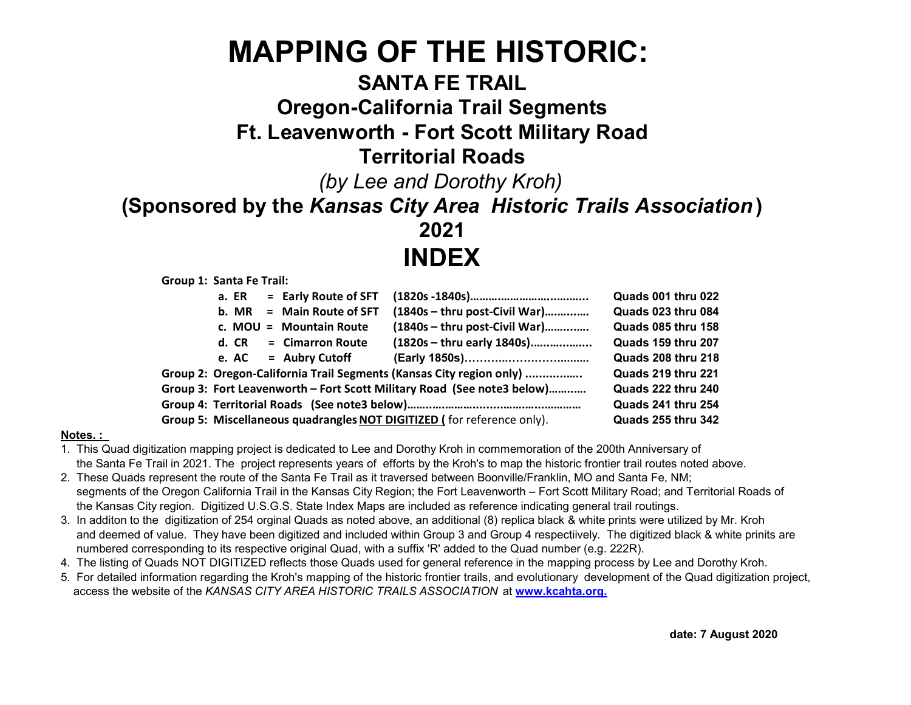# MAPPING OF THE HISTORIC:

### SANTA FE TRAIL

### Oregon-California Trail Segments

### Ft. Leavenworth - Fort Scott Military Road

#### Territorial Roads

(by Lee and Dorothy Kroh)

#### (Sponsored by the Kansas City Area Historic Trails Association )

2021 INDEX

Group 1: Santa Fe Trail:

|  | a. ER | = Early Route of SFT      |                                                                        | Quads 001 thru 022        |
|--|-------|---------------------------|------------------------------------------------------------------------|---------------------------|
|  | b. MR | = Main Route of SFT       | $(1840s - thru post-Civil War)$                                        | Quads 023 thru 084        |
|  |       | c. $MOU = Mountain Route$ | $(1840s - thru post-Civil War)$                                        | Quads 085 thru 158        |
|  |       | $d. CR = Cimarron Route$  | (1820s - thru early 1840s)                                             | Quads 159 thru 207        |
|  |       | e. $AC =$ Aubry Cutoff    |                                                                        | Quads 208 thru 218        |
|  |       |                           | Group 2: Oregon-California Trail Segments (Kansas City region only)    | Quads 219 thru 221        |
|  |       |                           | Group 3: Fort Leavenworth – Fort Scott Military Road (See note3 below) | Quads 222 thru 240        |
|  |       |                           |                                                                        | Quads 241 thru 254        |
|  |       |                           | Group 5: Miscellaneous quadrangles NOT DIGITIZED (for reference only). | <b>Quads 255 thru 342</b> |

#### Notes. :

1. This Quad digitization mapping project is dedicated to Lee and Dorothy Kroh in commemoration of the 200th Anniversary of the Santa Fe Trail in 2021. The project represents years of efforts by the Kroh's to map the historic frontier trail routes noted above.

- 2. These Quads represent the route of the Santa Fe Trail as it traversed between Boonville/Franklin, MO and Santa Fe, NM; segments of the Oregon California Trail in the Kansas City Region; the Fort Leavenworth – Fort Scott Military Road; and Territorial Roads of the Kansas City region. Digitized U.S.G.S. State Index Maps are included as reference indicating general trail routings.
- 3. In additon to the digitization of 254 orginal Quads as noted above, an additional (8) replica black & white prints were utilized by Mr. Kroh and deemed of value. They have been digitized and included within Group 3 and Group 4 respectiively. The digitized black & white prinits are numbered corresponding to its respective original Quad, with a suffix 'R' added to the Quad number (e.g. 222R).
- 4. The listing of Quads NOT DIGITIZED reflects those Quads used for general reference in the mapping process by Lee and Dorothy Kroh.
- 5. For detailed information regarding the Kroh's mapping of the historic frontier trails, and evolutionary development of the Quad digitization project, access the website of the KANSAS CITY AREA HISTORIC TRAILS ASSOCIATION at www.kcahta.org.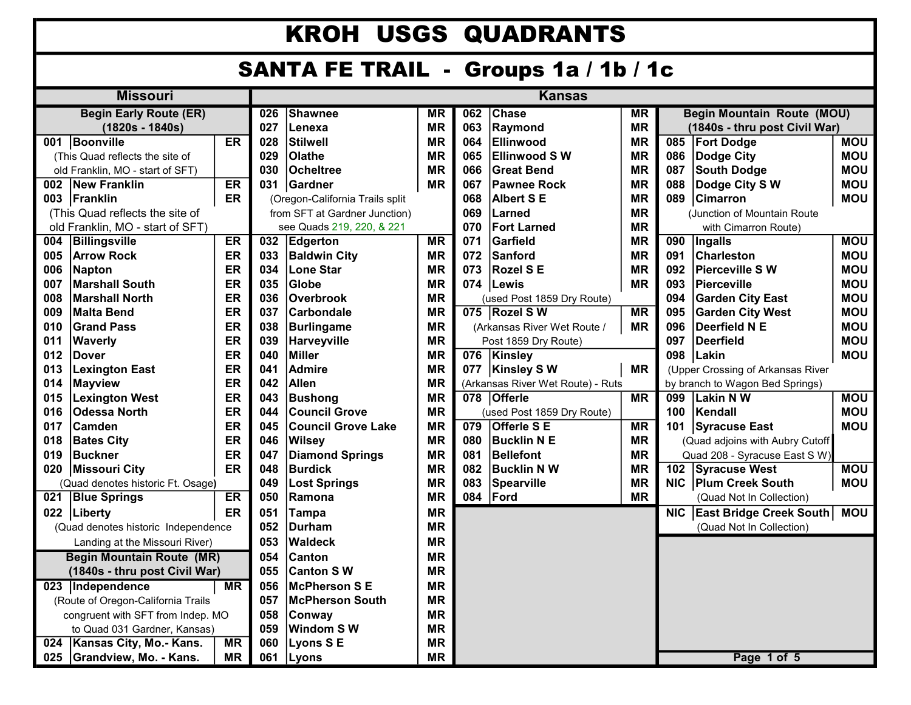## KROH USGS QUADRANTS

### SANTA FE TRAIL - Groups 1a / 1b / 1c

| <b>Missouri</b>                                         |                                     |           | <b>Kansas</b>        |                                                 |           |                                        |                             |                                   |                                 |                                   |            |
|---------------------------------------------------------|-------------------------------------|-----------|----------------------|-------------------------------------------------|-----------|----------------------------------------|-----------------------------|-----------------------------------|---------------------------------|-----------------------------------|------------|
| <b>Begin Early Route (ER)</b>                           |                                     |           | 026                  | <b>Shawnee</b><br>$\overline{\text{MR}}$<br>062 |           | <b>Chase</b><br>$\overline{\text{MR}}$ |                             | <b>Begin Mountain Route (MOU)</b> |                                 |                                   |            |
| (1820s - 1840s)                                         |                                     |           | 027                  | Lenexa                                          | <b>MR</b> | 063                                    | Raymond                     |                                   |                                 | (1840s - thru post Civil War)     |            |
| 001 Boonville<br><b>ER</b>                              |                                     |           | 028                  | <b>Stilwell</b>                                 | <b>MR</b> | 064                                    | Ellinwood                   |                                   | 085                             | <b>Fort Dodge</b>                 | <b>MOU</b> |
|                                                         | (This Quad reflects the site of     |           | 029                  | Olathe                                          | <b>MR</b> | 065                                    | <b>Ellinwood SW</b>         |                                   | 086                             | <b>Dodge City</b>                 | <b>MOU</b> |
|                                                         | old Franklin, MO - start of SFT)    |           | 030                  | <b>Ocheitree</b>                                | <b>MR</b> | 066                                    | <b>Great Bend</b>           |                                   | 087                             | <b>South Dodge</b>                | <b>MOU</b> |
| 002                                                     | New Franklin                        | ER        | 031                  | Gardner                                         | <b>MR</b> | 067                                    | <b>Pawnee Rock</b>          | <b>MR</b>                         | 088                             | Dodge City SW                     | <b>MOU</b> |
| 003                                                     | Franklin                            | ER        |                      | (Oregon-California Trails split                 |           | 068                                    | <b>Albert SE</b>            |                                   | 089                             | <b>Cimarron</b>                   | <b>MOU</b> |
|                                                         | (This Quad reflects the site of     |           |                      | from SFT at Gardner Junction)                   |           | 069<br>Larned                          |                             | <b>MR</b>                         | (Junction of Mountain Route     |                                   |            |
|                                                         | old Franklin, MO - start of SFT)    |           |                      | see Quads 219, 220, & 221                       |           | 070                                    | <b>Fort Larned</b>          | <b>MR</b>                         |                                 | with Cimarron Route)              |            |
| 004                                                     | <b>Billingsville</b>                | ER        | 032                  | Edgerton                                        | <b>MR</b> | 071                                    | Garfield                    | <b>MR</b>                         | 090                             | <b>Ingalls</b>                    | <b>MOU</b> |
| 005                                                     | <b>Arrow Rock</b>                   | ER        | 033                  | <b>Baldwin City</b>                             | <b>MR</b> | 072                                    | <b>Sanford</b>              | <b>MR</b>                         | 091                             | <b>Charleston</b>                 | <b>MOU</b> |
| 006                                                     | <b>Napton</b>                       | ER        | 034                  | <b>Lone Star</b>                                | <b>MR</b> | 073                                    | <b>Rozel SE</b>             | <b>MR</b>                         | 092                             | <b>Pierceville SW</b>             | <b>MOU</b> |
| 007                                                     | <b>Marshall South</b>               | ER        | 035                  | Globe                                           | <b>MR</b> | 074                                    | Lewis                       | <b>MR</b>                         | 093                             | <b>Pierceville</b>                | <b>MOU</b> |
| 008                                                     | <b>Marshall North</b>               | ER        | 036                  | <b>Overbrook</b>                                | <b>MR</b> |                                        | (used Post 1859 Dry Route)  |                                   | 094                             | <b>Garden City East</b>           | <b>MOU</b> |
| 009                                                     | <b>Malta Bend</b>                   | ER        | 037                  | <b>Carbondale</b>                               | <b>MR</b> |                                        | 075 Rozel SW                | $\overline{\text{MR}}$            | 095                             | <b>Garden City West</b>           | <b>MOU</b> |
| 010                                                     | <b>Grand Pass</b>                   | ER        | 038                  | <b>Burlingame</b>                               | <b>MR</b> |                                        | (Arkansas River Wet Route / | <b>MR</b>                         | 096                             | <b>Deerfield N E</b>              | <b>MOU</b> |
| 011                                                     | <b>Waverly</b>                      | ER        | 039                  | Harveyville                                     | <b>MR</b> |                                        | Post 1859 Dry Route)        |                                   | 097                             | <b>Deerfield</b>                  | <b>MOU</b> |
| 012                                                     | ER<br><b>Dover</b>                  |           | 040                  | <b>Miller</b>                                   | <b>MR</b> | 076                                    | <b>Kinsley</b>              |                                   | 098                             | Lakin                             | <b>MOU</b> |
| 013                                                     | ER<br><b>Lexington East</b>         |           | 041                  | <b>Admire</b>                                   | <b>MR</b> | 077                                    | <b>Kinsley SW</b>           |                                   |                                 | (Upper Crossing of Arkansas River |            |
| 014                                                     | <b>Mayview</b>                      | ER        | 042                  | <b>Allen</b>                                    | <b>MR</b> | (Arkansas River Wet Route) - Ruts      |                             |                                   | by branch to Wagon Bed Springs) |                                   |            |
| 015                                                     | <b>Lexington West</b>               | ER        | 043                  | <b>Bushong</b>                                  | <b>MR</b> |                                        | 078 Offerle                 |                                   | 099                             | Lakin NW                          | <b>MOU</b> |
| 016                                                     | <b>Odessa North</b>                 | ER        | 044                  | <b>Council Grove</b>                            | <b>MR</b> |                                        | (used Post 1859 Dry Route)  |                                   | 100                             | Kendall                           | <b>MOU</b> |
| 017                                                     | <b>Camden</b>                       | ER        | 045                  | <b>Council Grove Lake</b>                       | ΜR        | 079                                    | <b>Offerle SE</b>           | $\overline{\text{MR}}$            | 101                             | <b>Syracuse East</b>              | <b>MOU</b> |
| 018                                                     | <b>Bates City</b>                   | ER        | 046                  | <b>Wilsey</b>                                   | <b>MR</b> | 080                                    | <b>Bucklin N E</b>          | <b>MR</b>                         |                                 | (Quad adjoins with Aubry Cutoff   |            |
| 019                                                     | <b>Buckner</b>                      | ER        | 047                  | <b>Diamond Springs</b>                          | <b>MR</b> | 081                                    | <b>Bellefont</b>            | <b>MR</b>                         |                                 | Quad 208 - Syracuse East S W)     |            |
| 020                                                     | Missouri City                       | ER        | 048                  | <b>Burdick</b>                                  | <b>MR</b> | 082                                    | <b>Bucklin N W</b>          | <b>MR</b>                         | 102                             | <b>Syracuse West</b>              | <b>MOU</b> |
|                                                         | (Quad denotes historic Ft. Osage)   |           | 049                  | <b>Lost Springs</b>                             | <b>MR</b> | 083                                    | <b>Spearville</b>           | <b>MR</b>                         | <b>NIC</b>                      | <b>Plum Creek South</b>           | <b>MOU</b> |
| 021                                                     | <b>Blue Springs</b>                 | ER        | 050                  | Ramona                                          | <b>MR</b> | 084                                    | Ford                        | <b>MR</b>                         |                                 | (Quad Not In Collection)          |            |
| 022                                                     | Liberty                             | ER        | 051                  | Tampa                                           | <b>MR</b> |                                        |                             |                                   | <b>NIC</b>                      | <b>East Bridge Creek South</b>    | <b>MOU</b> |
|                                                         | (Quad denotes historic Independence |           | 052<br><b>Durham</b> |                                                 | <b>MR</b> |                                        |                             |                                   |                                 | (Quad Not In Collection)          |            |
| Landing at the Missouri River)                          |                                     |           | 053                  | <b>Waldeck</b><br><b>MR</b>                     |           |                                        |                             |                                   |                                 |                                   |            |
| <b>Begin Mountain Route (MR)</b>                        |                                     |           | 054                  | <b>Canton</b>                                   | <b>MR</b> |                                        |                             |                                   |                                 |                                   |            |
| (1840s - thru post Civil War)                           |                                     |           | 055                  | <b>Canton SW</b>                                | <b>MR</b> |                                        |                             |                                   |                                 |                                   |            |
| 023 Independence<br>$\overline{\text{MR}}$              |                                     | 056       | <b>McPherson SE</b>  | <b>MR</b>                                       |           |                                        |                             |                                   |                                 |                                   |            |
| (Route of Oregon-California Trails                      |                                     |           | 057                  | <b>McPherson South</b>                          | <b>MR</b> |                                        |                             |                                   |                                 |                                   |            |
| congruent with SFT from Indep. MO                       |                                     |           | 058                  | Conway                                          | <b>MR</b> |                                        |                             |                                   |                                 |                                   |            |
| to Quad 031 Gardner, Kansas)                            |                                     |           | 059                  | Windom SW                                       | <b>MR</b> |                                        |                             |                                   |                                 |                                   |            |
| $\overline{\text{MR}}$<br>024   Kansas City, Mo.- Kans. |                                     |           | 060                  | Lyons SE                                        | <b>MR</b> |                                        |                             |                                   |                                 |                                   |            |
|                                                         | 025 Grandview, Mo. - Kans.          | <b>MR</b> | 061                  | Lyons                                           | <b>MR</b> |                                        |                             |                                   |                                 | Page 1 of 5                       |            |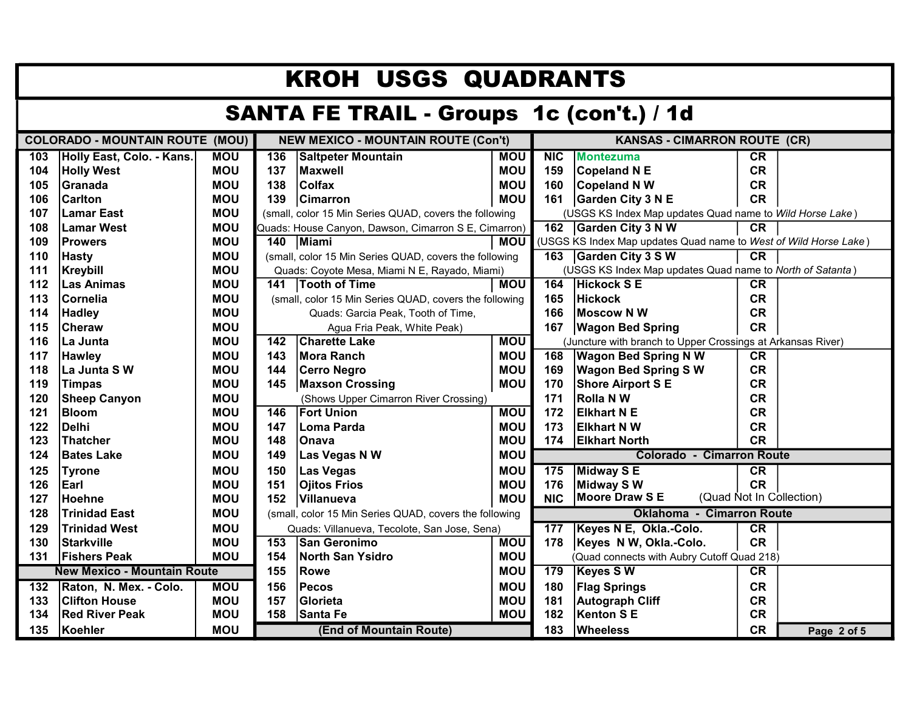| <b>KROH USGS QUADRANTS</b>                      |                                                                                                                             |            |                                              |                                                        |            |                                  |                                                                  |             |                          |  |
|-------------------------------------------------|-----------------------------------------------------------------------------------------------------------------------------|------------|----------------------------------------------|--------------------------------------------------------|------------|----------------------------------|------------------------------------------------------------------|-------------|--------------------------|--|
| <b>SANTA FE TRAIL - Groups 1c (con't.) / 1d</b> |                                                                                                                             |            |                                              |                                                        |            |                                  |                                                                  |             |                          |  |
|                                                 | <b>COLORADO - MOUNTAIN ROUTE (MOU)</b><br><b>NEW MEXICO - MOUNTAIN ROUTE (Con't)</b><br><b>KANSAS - CIMARRON ROUTE (CR)</b> |            |                                              |                                                        |            |                                  |                                                                  |             |                          |  |
| 103                                             | Holly East, Colo. - Kans.                                                                                                   | <b>MOU</b> | 136                                          | <b>Saltpeter Mountain</b>                              | <b>MOU</b> | NIC                              | <b>Montezuma</b>                                                 | CR          |                          |  |
| 104                                             | <b>Holly West</b>                                                                                                           | <b>MOU</b> | 137                                          | <b>Maxwell</b>                                         | <b>MOU</b> | 159                              | <b>Copeland N E</b>                                              | <b>CR</b>   |                          |  |
| 105                                             | Granada                                                                                                                     | <b>MOU</b> | 138                                          | <b>Colfax</b>                                          | <b>MOU</b> | 160                              | <b>Copeland N W</b>                                              | <b>CR</b>   |                          |  |
| 106                                             | <b>Carlton</b>                                                                                                              | <b>MOU</b> | 139                                          | <b>Cimarron</b>                                        | <b>MOU</b> | 161                              | <b>Garden City 3 N E</b>                                         | <b>CR</b>   |                          |  |
| 107                                             | <b>Lamar East</b>                                                                                                           | <b>MOU</b> |                                              | (small, color 15 Min Series QUAD, covers the following |            |                                  | (USGS KS Index Map updates Quad name to Wild Horse Lake)         |             |                          |  |
| 108                                             | <b>Lamar West</b>                                                                                                           | <b>MOU</b> |                                              | Quads: House Canyon, Dawson, Cimarron S E, Cimarron)   |            |                                  | 162 Garden City 3 N W                                            | CR          |                          |  |
| 109                                             | <b>Prowers</b>                                                                                                              | <b>MOU</b> |                                              | 140 Miami                                              | <b>MOU</b> |                                  | (USGS KS Index Map updates Quad name to West of Wild Horse Lake) |             |                          |  |
| 110                                             | <b>Hasty</b>                                                                                                                | MOU        |                                              | (small, color 15 Min Series QUAD, covers the following |            | 163                              | Garden City 3 S W                                                | <b>CR</b>   |                          |  |
| 111                                             | Kreybill                                                                                                                    | <b>MOU</b> |                                              | Quads: Coyote Mesa, Miami N E, Rayado, Miami)          |            |                                  | (USGS KS Index Map updates Quad name to North of Satanta)        |             |                          |  |
| 112                                             | <b>Las Animas</b>                                                                                                           | <b>MOU</b> |                                              | 141   Tooth of Time                                    | <b>MOU</b> | 164                              | <b>Hickock S E</b>                                               | CR          |                          |  |
| 113                                             | Cornelia                                                                                                                    | <b>MOU</b> |                                              | (small, color 15 Min Series QUAD, covers the following |            | 165                              | <b>Hickock</b>                                                   | <b>CR</b>   |                          |  |
| 114                                             | <b>Hadley</b>                                                                                                               | <b>MOU</b> |                                              | Quads: Garcia Peak, Tooth of Time,                     |            | 166                              | Moscow N W                                                       | <b>CR</b>   |                          |  |
| 115                                             | Cheraw                                                                                                                      | <b>MOU</b> |                                              | Agua Fria Peak, White Peak)                            | 167        | <b>Wagon Bed Spring</b>          | <b>CR</b>                                                        |             |                          |  |
| 116                                             | La Junta                                                                                                                    | <b>MOU</b> | 142                                          | <b>Charette Lake</b>                                   | <b>MOU</b> |                                  | (Juncture with branch to Upper Crossings at Arkansas River)      |             |                          |  |
| 117                                             | <b>Hawley</b>                                                                                                               | <b>MOU</b> | 143                                          | Mora Ranch                                             | <b>MOU</b> | 168                              | <b>Wagon Bed Spring N W</b>                                      | <b>CR</b>   |                          |  |
| 118                                             | La Junta SW                                                                                                                 | <b>MOU</b> | 144                                          | <b>Cerro Negro</b>                                     | <b>MOU</b> | 169                              | <b>Wagon Bed Spring S W</b>                                      | <b>CR</b>   |                          |  |
| 119                                             | <b>Timpas</b>                                                                                                               | <b>MOU</b> | 145                                          | <b>Maxson Crossing</b>                                 | <b>MOU</b> | 170                              | <b>Shore Airport S E</b>                                         | <b>CR</b>   |                          |  |
| 120                                             | <b>Sheep Canyon</b>                                                                                                         | <b>MOU</b> |                                              | (Shows Upper Cimarron River Crossing)                  |            | 171                              | <b>Rolla NW</b>                                                  | <b>CR</b>   |                          |  |
| 121                                             | <b>Bloom</b>                                                                                                                | <b>MOU</b> | 146                                          | <b>Fort Union</b>                                      | <b>MOU</b> | 172                              | <b>Elkhart N E</b>                                               | <b>CR</b>   |                          |  |
| 122                                             | <b>Delhi</b>                                                                                                                | <b>MOU</b> | 147                                          | Loma Parda                                             | <b>MOU</b> | 173                              | <b>Elkhart N W</b>                                               | <b>CR</b>   |                          |  |
| 123                                             | <b>Thatcher</b>                                                                                                             | <b>MOU</b> | 148                                          | <b>Onava</b>                                           | <b>MOU</b> | 174                              | <b>Elkhart North</b>                                             | <b>CR</b>   |                          |  |
| 124                                             | <b>Bates Lake</b>                                                                                                           | <b>MOU</b> | 149                                          | Las Vegas N W                                          | <b>MOU</b> | <b>Colorado - Cimarron Route</b> |                                                                  |             |                          |  |
| 125                                             | <b>Tyrone</b>                                                                                                               | <b>MOU</b> | 150                                          | Las Vegas                                              | <b>MOU</b> | 175                              | Midway S E                                                       | CR          |                          |  |
| 126                                             | Earl                                                                                                                        | <b>MOU</b> | 151                                          | <b>Ojitos Frios</b>                                    | <b>MOU</b> | 176                              | <b>Midway SW</b>                                                 | <b>CR</b>   |                          |  |
| 127                                             | Hoehne                                                                                                                      | <b>MOU</b> | 152                                          | <b>Villanueva</b>                                      | <b>MOU</b> | <b>NIC</b>                       | <b>Moore Draw SE</b>                                             |             | (Quad Not In Collection) |  |
| 128                                             | <b>Trinidad East</b>                                                                                                        | <b>MOU</b> |                                              | (small, color 15 Min Series QUAD, covers the following |            |                                  | <b>Oklahoma - Cimarron Route</b>                                 |             |                          |  |
| 129                                             | <b>Trinidad West</b>                                                                                                        | <b>MOU</b> | Quads: Villanueva, Tecolote, San Jose, Sena) |                                                        | 177        | Keyes N E, Okla.-Colo.           | CR                                                               |             |                          |  |
| 130                                             | <b>Starkville</b>                                                                                                           | <b>MOU</b> | 153                                          | <b>San Geronimo</b>                                    | <b>MOU</b> | 178                              | Keyes N W, Okla.-Colo.                                           | <b>CR</b>   |                          |  |
| 131                                             | <b>Fishers Peak</b>                                                                                                         | <b>MOU</b> | 154                                          | <b>North San Ysidro</b>                                | <b>MOU</b> |                                  | (Quad connects with Aubry Cutoff Quad 218)                       |             |                          |  |
| <b>New Mexico - Mountain Route</b><br>155       |                                                                                                                             |            |                                              | <b>Rowe</b>                                            | <b>MOU</b> | 179                              | <b>Keyes SW</b>                                                  | CR          |                          |  |
| 132                                             | Raton, N. Mex. - Colo.                                                                                                      | <b>MOU</b> | 156                                          | Pecos                                                  | <b>MOU</b> | 180                              | <b>Flag Springs</b>                                              | <b>CR</b>   |                          |  |
| 133                                             | <b>Clifton House</b>                                                                                                        | <b>MOU</b> | 157                                          | <b>Glorieta</b>                                        | <b>MOU</b> | 181                              | <b>Autograph Cliff</b>                                           | <b>CR</b>   |                          |  |
| 134                                             | <b>Red River Peak</b>                                                                                                       | <b>MOU</b> | 158                                          | Santa Fe                                               | <b>MOU</b> | 182                              | <b>Kenton SE</b>                                                 | <b>CR</b>   |                          |  |
| 135                                             | <b>MOU</b><br>Koehler<br>(End of Mountain Route)                                                                            |            |                                              |                                                        | 183        | <b>Wheeless</b>                  | <b>CR</b>                                                        | Page 2 of 5 |                          |  |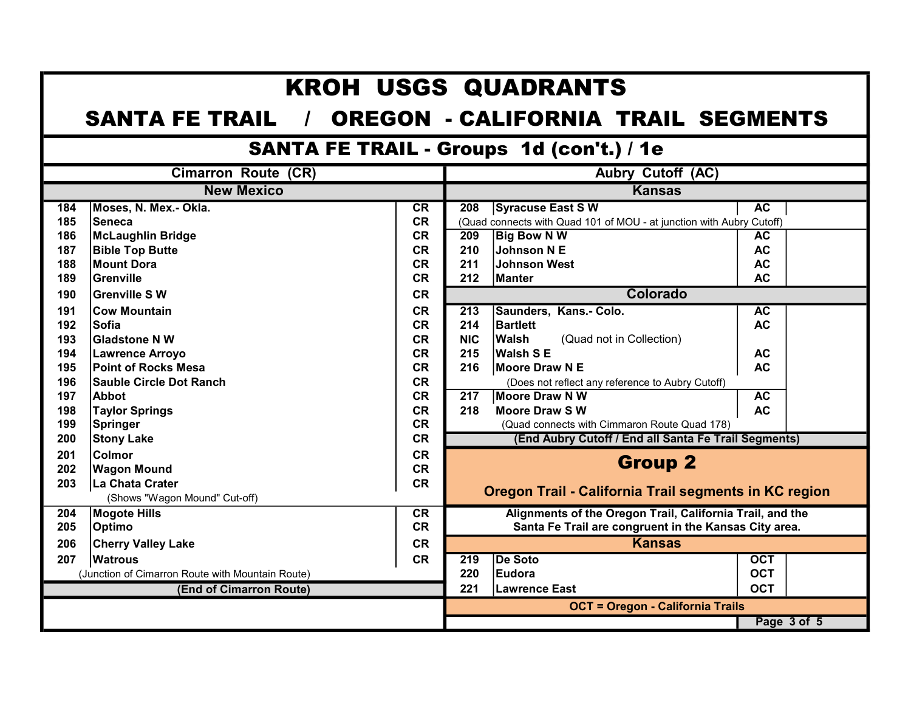|     |                                                                       |           |                  | <b>KROH USGS QUADRANTS</b>                                           |            |  |  |  |  |  |
|-----|-----------------------------------------------------------------------|-----------|------------------|----------------------------------------------------------------------|------------|--|--|--|--|--|
|     | <b>SANTA FE TRAIL</b> /<br><b>OREGON - CALIFORNIA TRAIL SEGMENTS</b>  |           |                  |                                                                      |            |  |  |  |  |  |
|     | <b>SANTA FE TRAIL - Groups 1d (con't.) / 1e</b>                       |           |                  |                                                                      |            |  |  |  |  |  |
|     | <b>Cimarron Route (CR)</b><br><b>Aubry Cutoff (AC)</b>                |           |                  |                                                                      |            |  |  |  |  |  |
|     | <b>New Mexico</b>                                                     |           |                  | <b>Kansas</b>                                                        |            |  |  |  |  |  |
| 184 | Moses, N. Mex.- Okla.                                                 | CR        | 208              | <b>Syracuse East SW</b>                                              | <b>AC</b>  |  |  |  |  |  |
| 185 | <b>Seneca</b>                                                         | <b>CR</b> |                  | (Quad connects with Quad 101 of MOU - at junction with Aubry Cutoff) |            |  |  |  |  |  |
| 186 | McLaughlin Bridge                                                     | <b>CR</b> | 209              | <b>Big Bow N W</b>                                                   | AC         |  |  |  |  |  |
| 187 | <b>Bible Top Butte</b>                                                | <b>CR</b> | 210              | Johnson N E                                                          | <b>AC</b>  |  |  |  |  |  |
| 188 | Mount Dora                                                            | <b>CR</b> | 211              | <b>Johnson West</b>                                                  | <b>AC</b>  |  |  |  |  |  |
| 189 | <b>Grenville</b>                                                      | <b>CR</b> | 212              | <b>Manter</b>                                                        | AC.        |  |  |  |  |  |
| 190 | Grenville S W                                                         | <b>CR</b> |                  | <b>Colorado</b>                                                      |            |  |  |  |  |  |
| 191 | <b>Cow Mountain</b>                                                   | <b>CR</b> | $\overline{213}$ | Saunders, Kans.- Colo.                                               | AC         |  |  |  |  |  |
| 192 | <b>Sofia</b>                                                          | <b>CR</b> | 214              | <b>Bartlett</b>                                                      | <b>AC</b>  |  |  |  |  |  |
| 193 | <b>Gladstone N W</b>                                                  | <b>CR</b> | <b>NIC</b>       | <b>Walsh</b><br>(Quad not in Collection)                             |            |  |  |  |  |  |
| 194 | Lawrence Arroyo                                                       | <b>CR</b> | 215              | <b>Walsh SE</b>                                                      | <b>AC</b>  |  |  |  |  |  |
| 195 | <b>Point of Rocks Mesa</b>                                            | <b>CR</b> | 216              | Moore Draw N E                                                       | <b>AC</b>  |  |  |  |  |  |
| 196 | <b>Sauble Circle Dot Ranch</b>                                        | <b>CR</b> |                  | (Does not reflect any reference to Aubry Cutoff)                     |            |  |  |  |  |  |
| 197 | Abbot                                                                 | <b>CR</b> | $\overline{217}$ | <b>Moore Draw N W</b>                                                | AC         |  |  |  |  |  |
| 198 | <b>Taylor Springs</b>                                                 | <b>CR</b> | 218              | <b>Moore Draw SW</b>                                                 | <b>AC</b>  |  |  |  |  |  |
| 199 | <b>CR</b><br>(Quad connects with Cimmaron Route Quad 178)<br>Springer |           |                  |                                                                      |            |  |  |  |  |  |
| 200 | <b>Stony Lake</b>                                                     | <b>CR</b> |                  | (End Aubry Cutoff / End all Santa Fe Trail Segments)                 |            |  |  |  |  |  |
| 201 | <b>Colmor</b>                                                         | <b>CR</b> |                  |                                                                      |            |  |  |  |  |  |
| 202 | <b>Wagon Mound</b>                                                    | <b>CR</b> |                  | <b>Group 2</b>                                                       |            |  |  |  |  |  |
| 203 | La Chata Crater                                                       | <b>CR</b> |                  |                                                                      |            |  |  |  |  |  |
|     | (Shows "Wagon Mound" Cut-off)                                         |           |                  | Oregon Trail - California Trail segments in KC region                |            |  |  |  |  |  |
| 204 | <b>Mogote Hills</b>                                                   | <b>CR</b> |                  | Alignments of the Oregon Trail, California Trail, and the            |            |  |  |  |  |  |
| 205 | <b>Optimo</b>                                                         | <b>CR</b> |                  | Santa Fe Trail are congruent in the Kansas City area.                |            |  |  |  |  |  |
| 206 | <b>Cherry Valley Lake</b>                                             | <b>CR</b> |                  | <b>Kansas</b>                                                        |            |  |  |  |  |  |
| 207 | <b>Watrous</b>                                                        | <b>CR</b> | $\overline{219}$ | <b>De Soto</b>                                                       | <b>OCT</b> |  |  |  |  |  |
|     | (Junction of Cimarron Route with Mountain Route)                      |           | 220              | Eudora                                                               | <b>OCT</b> |  |  |  |  |  |
|     | (End of Cimarron Route)                                               |           | 221              | Lawrence East                                                        | <b>OCT</b> |  |  |  |  |  |
|     |                                                                       |           |                  | <b>OCT = Oregon - California Trails</b>                              |            |  |  |  |  |  |
|     |                                                                       |           | Page 3 of 5      |                                                                      |            |  |  |  |  |  |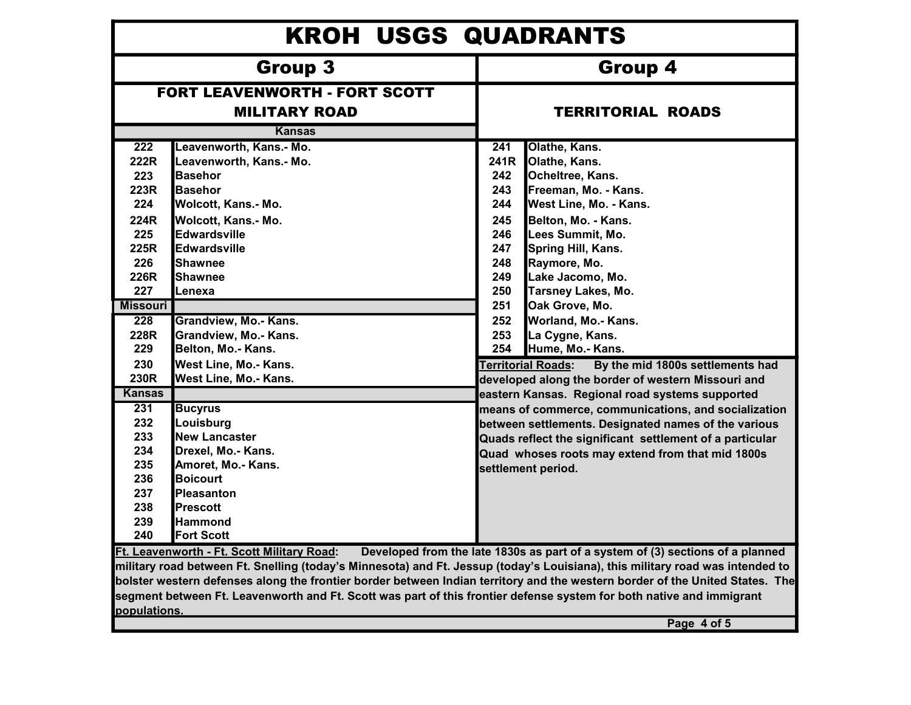| <b>KROH USGS QUADRANTS</b>                                                                                                                                                                                                                                                                                                                                                                                                                                                                                                                           |                                                                                                                                                                                                                                                                                                                                                                                                                                                                                         |                                                                                                                     |                                                                                                                                                                                                                                                                                                                                                                                                                                                                                                                                                                                                                                                                                                                                                        |  |  |  |  |
|------------------------------------------------------------------------------------------------------------------------------------------------------------------------------------------------------------------------------------------------------------------------------------------------------------------------------------------------------------------------------------------------------------------------------------------------------------------------------------------------------------------------------------------------------|-----------------------------------------------------------------------------------------------------------------------------------------------------------------------------------------------------------------------------------------------------------------------------------------------------------------------------------------------------------------------------------------------------------------------------------------------------------------------------------------|---------------------------------------------------------------------------------------------------------------------|--------------------------------------------------------------------------------------------------------------------------------------------------------------------------------------------------------------------------------------------------------------------------------------------------------------------------------------------------------------------------------------------------------------------------------------------------------------------------------------------------------------------------------------------------------------------------------------------------------------------------------------------------------------------------------------------------------------------------------------------------------|--|--|--|--|
|                                                                                                                                                                                                                                                                                                                                                                                                                                                                                                                                                      | Group 3                                                                                                                                                                                                                                                                                                                                                                                                                                                                                 | Group 4                                                                                                             |                                                                                                                                                                                                                                                                                                                                                                                                                                                                                                                                                                                                                                                                                                                                                        |  |  |  |  |
|                                                                                                                                                                                                                                                                                                                                                                                                                                                                                                                                                      | <b>FORT LEAVENWORTH - FORT SCOTT</b><br><b>MILITARY ROAD</b><br><b>Kansas</b>                                                                                                                                                                                                                                                                                                                                                                                                           | <b>TERRITORIAL ROADS</b>                                                                                            |                                                                                                                                                                                                                                                                                                                                                                                                                                                                                                                                                                                                                                                                                                                                                        |  |  |  |  |
| 222<br>222R<br>223<br>223R<br>224<br>224R<br>225<br>225R<br>226<br>226R<br>227<br><b>Missouri</b><br>228<br>228R<br>229<br>230<br>230R<br><b>Kansas</b><br>231<br>232<br>233<br>234<br>235<br>236<br>237                                                                                                                                                                                                                                                                                                                                             | Leavenworth, Kans.- Mo.<br>Leavenworth, Kans.- Mo.<br><b>Basehor</b><br><b>Basehor</b><br>Wolcott, Kans.- Mo.<br>Wolcott, Kans.- Mo.<br><b>Edwardsville</b><br><b>Edwardsville</b><br><b>Shawnee</b><br>Shawnee<br>Lenexa<br>Grandview, Mo.- Kans.<br>Grandview, Mo.- Kans.<br>Belton, Mo.- Kans.<br>West Line, Mo.- Kans.<br>West Line, Mo.- Kans.<br><b>Bucyrus</b><br>Louisburg<br><b>New Lancaster</b><br>Drexel, Mo.- Kans.<br>Amoret, Mo.- Kans.<br><b>Boicourt</b><br>Pleasanton | $\overline{241}$<br>241R<br>242<br>243<br>244<br>245<br>246<br>247<br>248<br>249<br>250<br>251<br>252<br>253<br>254 | Olathe, Kans.<br>Olathe, Kans.<br>Ocheltree, Kans.<br>Freeman, Mo. - Kans.<br>West Line, Mo. - Kans.<br>Belton, Mo. - Kans.<br>Lees Summit, Mo.<br>Spring Hill, Kans.<br>Raymore, Mo.<br>Lake Jacomo, Mo.<br><b>Tarsney Lakes, Mo.</b><br>Oak Grove, Mo.<br>Worland, Mo.- Kans.<br>La Cygne, Kans.<br>Hume, Mo.- Kans.<br><b>Ferritorial Roads:</b><br>By the mid 1800s settlements had<br>developed along the border of western Missouri and<br>eastern Kansas. Regional road systems supported<br>means of commerce, communications, and socialization<br>between settlements. Designated names of the various<br>Quads reflect the significant settlement of a particular<br>Quad whoses roots may extend from that mid 1800s<br>settlement period. |  |  |  |  |
| 238<br>239<br>240                                                                                                                                                                                                                                                                                                                                                                                                                                                                                                                                    | <b>Prescott</b><br><b>Hammond</b><br><b>Fort Scott</b>                                                                                                                                                                                                                                                                                                                                                                                                                                  |                                                                                                                     |                                                                                                                                                                                                                                                                                                                                                                                                                                                                                                                                                                                                                                                                                                                                                        |  |  |  |  |
| Developed from the late 1830s as part of a system of (3) sections of a planned<br>Ft. Leavenworth - Ft. Scott Military Road:<br>military road between Ft. Snelling (today's Minnesota) and Ft. Jessup (today's Louisiana), this military road was intended to<br>bolster western defenses along the frontier border between Indian territory and the western border of the United States. The<br>segment between Ft. Leavenworth and Ft. Scott was part of this frontier defense system for both native and immigrant<br>populations.<br>Page 4 of 5 |                                                                                                                                                                                                                                                                                                                                                                                                                                                                                         |                                                                                                                     |                                                                                                                                                                                                                                                                                                                                                                                                                                                                                                                                                                                                                                                                                                                                                        |  |  |  |  |